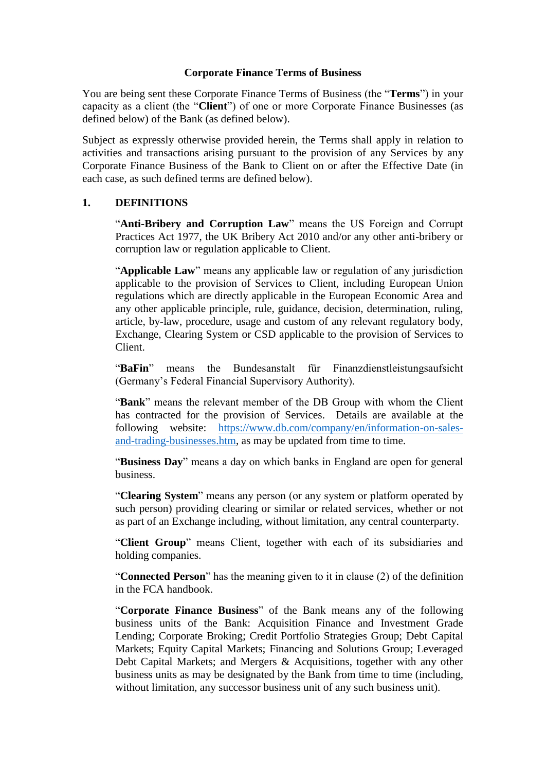### **Corporate Finance Terms of Business**

You are being sent these Corporate Finance Terms of Business (the "**Terms**") in your capacity as a client (the "**Client**") of one or more Corporate Finance Businesses (as defined below) of the Bank (as defined below).

Subject as expressly otherwise provided herein, the Terms shall apply in relation to activities and transactions arising pursuant to the provision of any Services by any Corporate Finance Business of the Bank to Client on or after the Effective Date (in each case, as such defined terms are defined below).

# **1. DEFINITIONS**

"**Anti-Bribery and Corruption Law**" means the US Foreign and Corrupt Practices Act 1977, the UK Bribery Act 2010 and/or any other anti-bribery or corruption law or regulation applicable to Client.

"**Applicable Law**" means any applicable law or regulation of any jurisdiction applicable to the provision of Services to Client, including European Union regulations which are directly applicable in the European Economic Area and any other applicable principle, rule, guidance, decision, determination, ruling, article, by-law, procedure, usage and custom of any relevant regulatory body, Exchange, Clearing System or CSD applicable to the provision of Services to Client.

"**BaFin**" means the Bundesanstalt für Finanzdienstleistungsaufsicht (Germany's Federal Financial Supervisory Authority).

"**Bank**" means the relevant member of the DB Group with whom the Client has contracted for the provision of Services. Details are available at the following website: [https://www.db.com/company/en/information-on-sales](https://www.db.com/company/en/information-on-sales-and-trading-businesses.htm)[and-trading-businesses.htm,](https://www.db.com/company/en/information-on-sales-and-trading-businesses.htm) as may be updated from time to time.

"**Business Day**" means a day on which banks in England are open for general business.

"**Clearing System**" means any person (or any system or platform operated by such person) providing clearing or similar or related services, whether or not as part of an Exchange including, without limitation, any central counterparty.

"**Client Group**" means Client, together with each of its subsidiaries and holding companies.

"**Connected Person**" has the meaning given to it in clause (2) of the definition in the FCA handbook.

"**Corporate Finance Business**" of the Bank means any of the following business units of the Bank: Acquisition Finance and Investment Grade Lending; Corporate Broking; Credit Portfolio Strategies Group; Debt Capital Markets; Equity Capital Markets; Financing and Solutions Group; Leveraged Debt Capital Markets; and Mergers & Acquisitions, together with any other business units as may be designated by the Bank from time to time (including, without limitation, any successor business unit of any such business unit).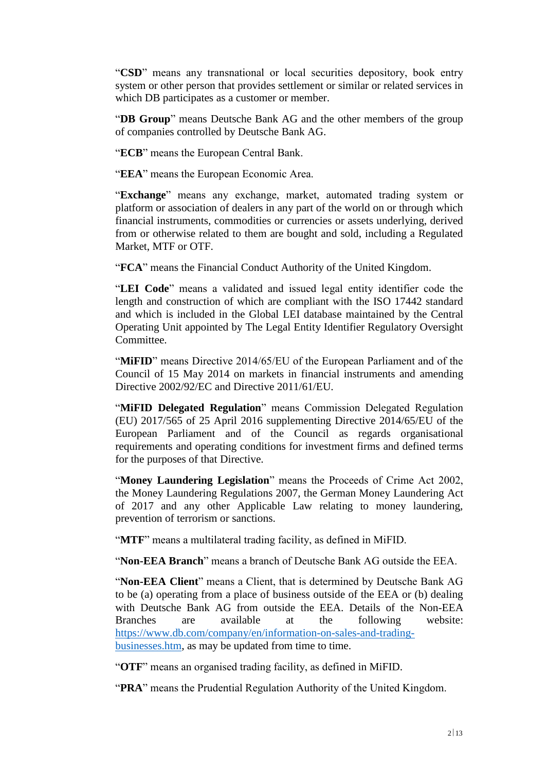"**CSD**" means any transnational or local securities depository, book entry system or other person that provides settlement or similar or related services in which DB participates as a customer or member.

"**DB Group**" means Deutsche Bank AG and the other members of the group of companies controlled by Deutsche Bank AG.

"**ECB**" means the European Central Bank.

"**EEA**" means the European Economic Area.

"**Exchange**" means any exchange, market, automated trading system or platform or association of dealers in any part of the world on or through which financial instruments, commodities or currencies or assets underlying, derived from or otherwise related to them are bought and sold, including a Regulated Market, MTF or OTF.

"**FCA**" means the Financial Conduct Authority of the United Kingdom.

"**LEI Code**" means a validated and issued legal entity identifier code the length and construction of which are compliant with the ISO 17442 standard and which is included in the Global LEI database maintained by the Central Operating Unit appointed by The Legal Entity Identifier Regulatory Oversight Committee.

"**MIFID**" means Directive 2014/65/EU of the European Parliament and of the Council of 15 May 2014 on markets in financial instruments and amending Directive 2002/92/EC and Directive 2011/61/EU.

"**MiFID Delegated Regulation**" means Commission Delegated Regulation (EU) 2017/565 of 25 April 2016 supplementing Directive 2014/65/EU of the European Parliament and of the Council as regards organisational requirements and operating conditions for investment firms and defined terms for the purposes of that Directive.

"**Money Laundering Legislation**" means the Proceeds of Crime Act 2002, the Money Laundering Regulations 2007, the German Money Laundering Act of 2017 and any other Applicable Law relating to money laundering, prevention of terrorism or sanctions.

"**MTF**" means a multilateral trading facility, as defined in MiFID.

"**Non-EEA Branch**" means a branch of Deutsche Bank AG outside the EEA.

"**Non-EEA Client**" means a Client, that is determined by Deutsche Bank AG to be (a) operating from a place of business outside of the EEA or (b) dealing with Deutsche Bank AG from outside the EEA. Details of the Non-EEA Branches are available at the following website: [https://www.db.com/company/en/information-on-sales-and-trading](https://www.db.com/company/en/information-on-sales-and-trading-businesses.htm)[businesses.htm,](https://www.db.com/company/en/information-on-sales-and-trading-businesses.htm) as may be updated from time to time.

"**OTF**" means an organised trading facility, as defined in MiFID.

"**PRA**" means the Prudential Regulation Authority of the United Kingdom.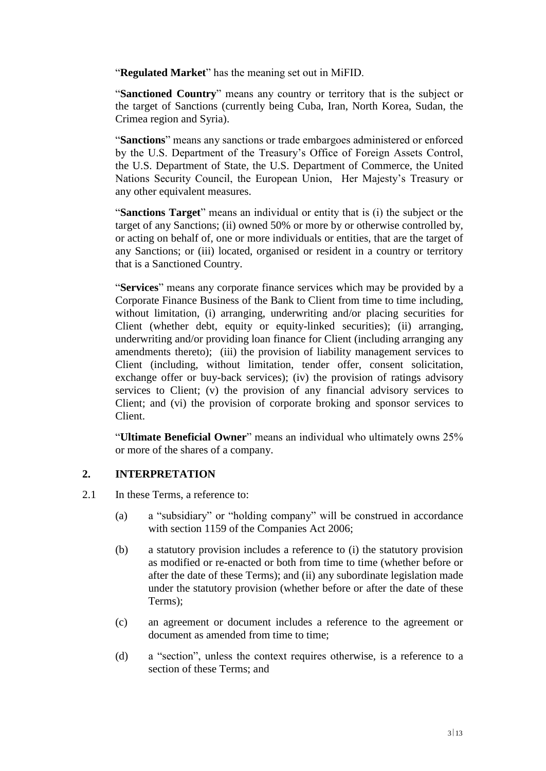"**Regulated Market**" has the meaning set out in MiFID.

"**Sanctioned Country**" means any country or territory that is the subject or the target of Sanctions (currently being Cuba, Iran, North Korea, Sudan, the Crimea region and Syria).

"**Sanctions**" means any sanctions or trade embargoes administered or enforced by the U.S. Department of the Treasury's Office of Foreign Assets Control, the U.S. Department of State, the U.S. Department of Commerce, the United Nations Security Council, the European Union, Her Majesty's Treasury or any other equivalent measures.

"**Sanctions Target**" means an individual or entity that is (i) the subject or the target of any Sanctions; (ii) owned 50% or more by or otherwise controlled by, or acting on behalf of, one or more individuals or entities, that are the target of any Sanctions; or (iii) located, organised or resident in a country or territory that is a Sanctioned Country.

"**Services**" means any corporate finance services which may be provided by a Corporate Finance Business of the Bank to Client from time to time including, without limitation, (i) arranging, underwriting and/or placing securities for Client (whether debt, equity or equity-linked securities); (ii) arranging, underwriting and/or providing loan finance for Client (including arranging any amendments thereto); (iii) the provision of liability management services to Client (including, without limitation, tender offer, consent solicitation, exchange offer or buy-back services); (iv) the provision of ratings advisory services to Client; (v) the provision of any financial advisory services to Client; and (vi) the provision of corporate broking and sponsor services to Client.

"**Ultimate Beneficial Owner**" means an individual who ultimately owns 25% or more of the shares of a company.

# **2. INTERPRETATION**

- 2.1 In these Terms, a reference to:
	- (a) a "subsidiary" or "holding company" will be construed in accordance with section 1159 of the Companies Act 2006;
	- (b) a statutory provision includes a reference to (i) the statutory provision as modified or re-enacted or both from time to time (whether before or after the date of these Terms); and (ii) any subordinate legislation made under the statutory provision (whether before or after the date of these Terms);
	- (c) an agreement or document includes a reference to the agreement or document as amended from time to time:
	- (d) a "section", unless the context requires otherwise, is a reference to a section of these Terms; and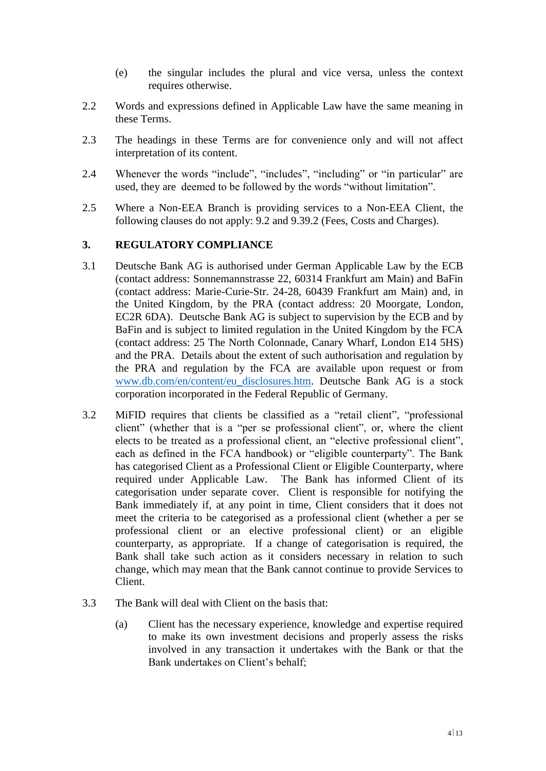- (e) the singular includes the plural and vice versa, unless the context requires otherwise.
- 2.2 Words and expressions defined in Applicable Law have the same meaning in these Terms.
- 2.3 The headings in these Terms are for convenience only and will not affect interpretation of its content.
- 2.4 Whenever the words "include", "includes", "including" or "in particular" are used, they are deemed to be followed by the words "without limitation".
- 2.5 Where a Non-EEA Branch is providing services to a Non-EEA Client, the following clauses do not apply: [9.2](#page-7-0) and [9.39.2](#page-7-1) (Fees, Costs and Charges).

### **3. REGULATORY COMPLIANCE**

- 3.1 Deutsche Bank AG is authorised under German Applicable Law by the ECB (contact address: Sonnemannstrasse 22, 60314 Frankfurt am Main) and BaFin (contact address: Marie-Curie-Str. 24-28, 60439 Frankfurt am Main) and, in the United Kingdom, by the PRA (contact address: 20 Moorgate, London, EC2R 6DA). Deutsche Bank AG is subject to supervision by the ECB and by BaFin and is subject to limited regulation in the United Kingdom by the FCA (contact address: 25 The North Colonnade, Canary Wharf, London E14 5HS) and the PRA. Details about the extent of such authorisation and regulation by the PRA and regulation by the FCA are available upon request or from [www.db.com/en/content/eu\\_disclosures.htm.](http://www.db.com/en/content/eu_disclosures.htm) Deutsche Bank AG is a stock corporation incorporated in the Federal Republic of Germany.
- 3.2 MiFID requires that clients be classified as a "retail client", "professional client" (whether that is a "per se professional client", or, where the client elects to be treated as a professional client, an "elective professional client", each as defined in the FCA handbook) or "eligible counterparty". The Bank has categorised Client as a Professional Client or Eligible Counterparty, where required under Applicable Law. The Bank has informed Client of its categorisation under separate cover. Client is responsible for notifying the Bank immediately if, at any point in time, Client considers that it does not meet the criteria to be categorised as a professional client (whether a per se professional client or an elective professional client) or an eligible counterparty, as appropriate. If a change of categorisation is required, the Bank shall take such action as it considers necessary in relation to such change, which may mean that the Bank cannot continue to provide Services to Client.
- 3.3 The Bank will deal with Client on the basis that:
	- (a) Client has the necessary experience, knowledge and expertise required to make its own investment decisions and properly assess the risks involved in any transaction it undertakes with the Bank or that the Bank undertakes on Client's behalf;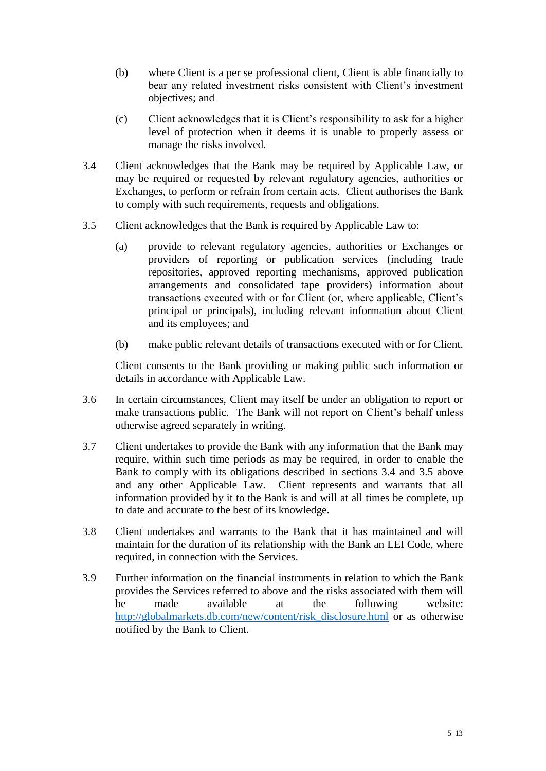- (b) where Client is a per se professional client, Client is able financially to bear any related investment risks consistent with Client's investment objectives; and
- (c) Client acknowledges that it is Client's responsibility to ask for a higher level of protection when it deems it is unable to properly assess or manage the risks involved.
- <span id="page-4-0"></span>3.4 Client acknowledges that the Bank may be required by Applicable Law, or may be required or requested by relevant regulatory agencies, authorities or Exchanges, to perform or refrain from certain acts. Client authorises the Bank to comply with such requirements, requests and obligations.
- <span id="page-4-1"></span>3.5 Client acknowledges that the Bank is required by Applicable Law to:
	- (a) provide to relevant regulatory agencies, authorities or Exchanges or providers of reporting or publication services (including trade repositories, approved reporting mechanisms, approved publication arrangements and consolidated tape providers) information about transactions executed with or for Client (or, where applicable, Client's principal or principals), including relevant information about Client and its employees; and
	- (b) make public relevant details of transactions executed with or for Client.

Client consents to the Bank providing or making public such information or details in accordance with Applicable Law.

- 3.6 In certain circumstances, Client may itself be under an obligation to report or make transactions public. The Bank will not report on Client's behalf unless otherwise agreed separately in writing.
- 3.7 Client undertakes to provide the Bank with any information that the Bank may require, within such time periods as may be required, in order to enable the Bank to comply with its obligations described in sections [3.4](#page-4-0) and [3.5](#page-4-1) above and any other Applicable Law. Client represents and warrants that all information provided by it to the Bank is and will at all times be complete, up to date and accurate to the best of its knowledge.
- 3.8 Client undertakes and warrants to the Bank that it has maintained and will maintain for the duration of its relationship with the Bank an LEI Code, where required, in connection with the Services.
- 3.9 Further information on the financial instruments in relation to which the Bank provides the Services referred to above and the risks associated with them will be made available at the following website: [http://globalmarkets.db.com/new/content/risk\\_disclosure.html](http://globalmarkets.db.com/new/content/risk_disclosure.html) or as otherwise notified by the Bank to Client.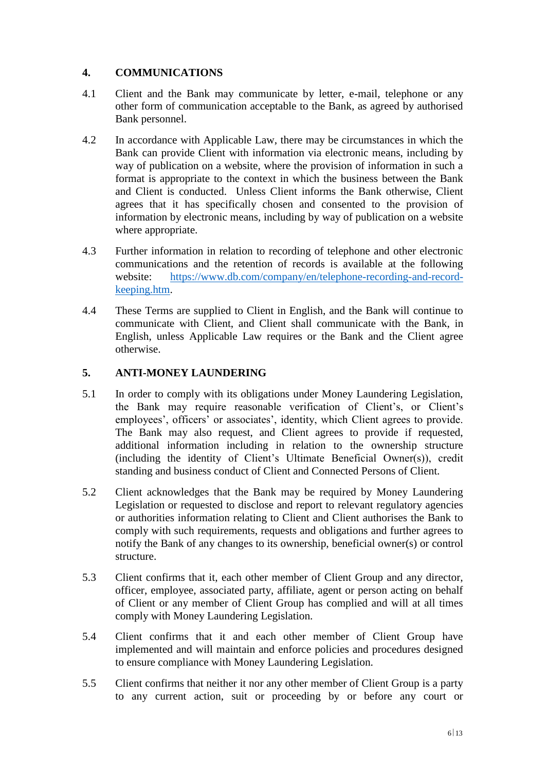# **4. COMMUNICATIONS**

- 4.1 Client and the Bank may communicate by letter, e-mail, telephone or any other form of communication acceptable to the Bank, as agreed by authorised Bank personnel.
- 4.2 In accordance with Applicable Law, there may be circumstances in which the Bank can provide Client with information via electronic means, including by way of publication on a website, where the provision of information in such a format is appropriate to the context in which the business between the Bank and Client is conducted. Unless Client informs the Bank otherwise, Client agrees that it has specifically chosen and consented to the provision of information by electronic means, including by way of publication on a website where appropriate.
- 4.3 Further information in relation to recording of telephone and other electronic communications and the retention of records is available at the following website: [https://www.db.com/company/en/telephone-recording-and-record](https://www.db.com/company/en/telephone-recording-and-record-keeping.htm)[keeping.htm.](https://www.db.com/company/en/telephone-recording-and-record-keeping.htm)
- 4.4 These Terms are supplied to Client in English, and the Bank will continue to communicate with Client, and Client shall communicate with the Bank, in English, unless Applicable Law requires or the Bank and the Client agree otherwise.

# **5. ANTI-MONEY LAUNDERING**

- 5.1 In order to comply with its obligations under Money Laundering Legislation, the Bank may require reasonable verification of Client's, or Client's employees', officers' or associates', identity, which Client agrees to provide. The Bank may also request, and Client agrees to provide if requested, additional information including in relation to the ownership structure (including the identity of Client's Ultimate Beneficial Owner(s)), credit standing and business conduct of Client and Connected Persons of Client.
- 5.2 Client acknowledges that the Bank may be required by Money Laundering Legislation or requested to disclose and report to relevant regulatory agencies or authorities information relating to Client and Client authorises the Bank to comply with such requirements, requests and obligations and further agrees to notify the Bank of any changes to its ownership, beneficial owner(s) or control structure.
- 5.3 Client confirms that it, each other member of Client Group and any director, officer, employee, associated party, affiliate, agent or person acting on behalf of Client or any member of Client Group has complied and will at all times comply with Money Laundering Legislation.
- 5.4 Client confirms that it and each other member of Client Group have implemented and will maintain and enforce policies and procedures designed to ensure compliance with Money Laundering Legislation.
- 5.5 Client confirms that neither it nor any other member of Client Group is a party to any current action, suit or proceeding by or before any court or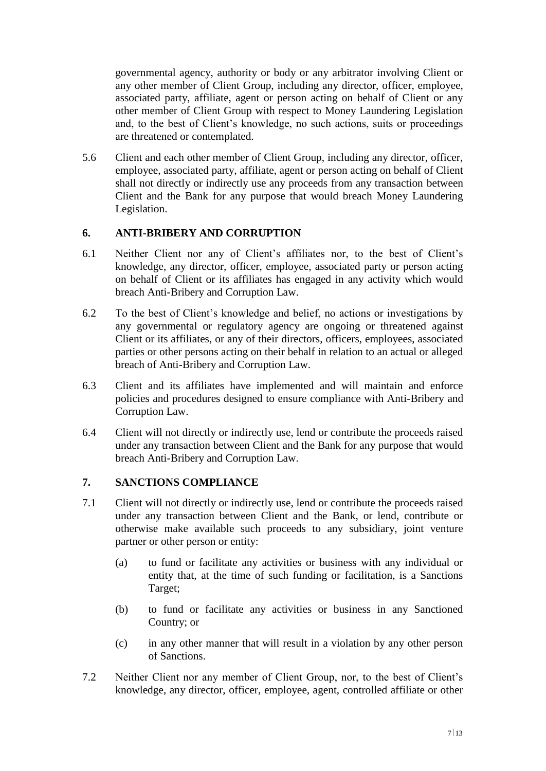governmental agency, authority or body or any arbitrator involving Client or any other member of Client Group, including any director, officer, employee, associated party, affiliate, agent or person acting on behalf of Client or any other member of Client Group with respect to Money Laundering Legislation and, to the best of Client's knowledge, no such actions, suits or proceedings are threatened or contemplated.

5.6 Client and each other member of Client Group, including any director, officer, employee, associated party, affiliate, agent or person acting on behalf of Client shall not directly or indirectly use any proceeds from any transaction between Client and the Bank for any purpose that would breach Money Laundering Legislation.

# **6. ANTI-BRIBERY AND CORRUPTION**

- 6.1 Neither Client nor any of Client's affiliates nor, to the best of Client's knowledge, any director, officer, employee, associated party or person acting on behalf of Client or its affiliates has engaged in any activity which would breach Anti-Bribery and Corruption Law.
- 6.2 To the best of Client's knowledge and belief, no actions or investigations by any governmental or regulatory agency are ongoing or threatened against Client or its affiliates, or any of their directors, officers, employees, associated parties or other persons acting on their behalf in relation to an actual or alleged breach of Anti-Bribery and Corruption Law.
- 6.3 Client and its affiliates have implemented and will maintain and enforce policies and procedures designed to ensure compliance with Anti-Bribery and Corruption Law.
- 6.4 Client will not directly or indirectly use, lend or contribute the proceeds raised under any transaction between Client and the Bank for any purpose that would breach Anti-Bribery and Corruption Law.

# **7. SANCTIONS COMPLIANCE**

- 7.1 Client will not directly or indirectly use, lend or contribute the proceeds raised under any transaction between Client and the Bank, or lend, contribute or otherwise make available such proceeds to any subsidiary, joint venture partner or other person or entity:
	- (a) to fund or facilitate any activities or business with any individual or entity that, at the time of such funding or facilitation, is a Sanctions Target;
	- (b) to fund or facilitate any activities or business in any Sanctioned Country; or
	- (c) in any other manner that will result in a violation by any other person of Sanctions.
- 7.2 Neither Client nor any member of Client Group, nor, to the best of Client's knowledge, any director, officer, employee, agent, controlled affiliate or other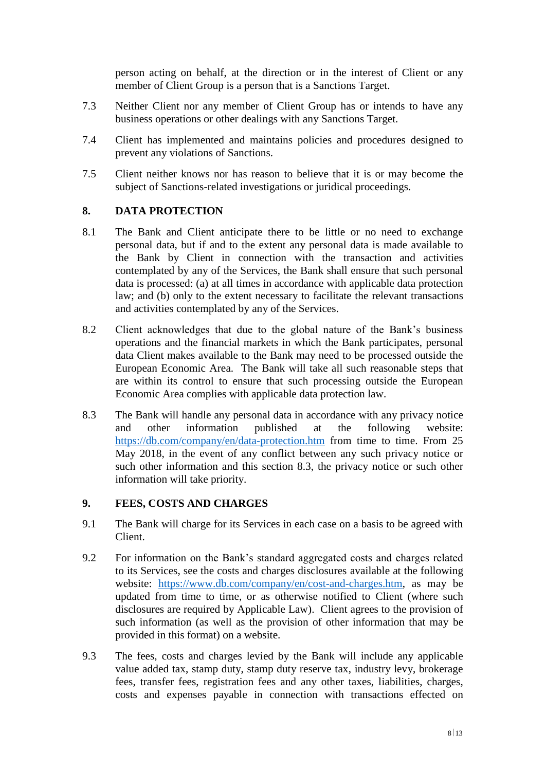person acting on behalf, at the direction or in the interest of Client or any member of Client Group is a person that is a Sanctions Target.

- 7.3 Neither Client nor any member of Client Group has or intends to have any business operations or other dealings with any Sanctions Target.
- 7.4 Client has implemented and maintains policies and procedures designed to prevent any violations of Sanctions.
- 7.5 Client neither knows nor has reason to believe that it is or may become the subject of Sanctions-related investigations or juridical proceedings.

# **8. DATA PROTECTION**

- 8.1 The Bank and Client anticipate there to be little or no need to exchange personal data, but if and to the extent any personal data is made available to the Bank by Client in connection with the transaction and activities contemplated by any of the Services, the Bank shall ensure that such personal data is processed: (a) at all times in accordance with applicable data protection law; and (b) only to the extent necessary to facilitate the relevant transactions and activities contemplated by any of the Services.
- 8.2 Client acknowledges that due to the global nature of the Bank's business operations and the financial markets in which the Bank participates, personal data Client makes available to the Bank may need to be processed outside the European Economic Area. The Bank will take all such reasonable steps that are within its control to ensure that such processing outside the European Economic Area complies with applicable data protection law.
- 8.3 The Bank will handle any personal data in accordance with any privacy notice and other information published at the following website: <https://db.com/company/en/data-protection.htm> from time to time. From 25 May 2018, in the event of any conflict between any such privacy notice or such other information and this section 8.3, the privacy notice or such other information will take priority.

# **9. FEES, COSTS AND CHARGES**

- 9.1 The Bank will charge for its Services in each case on a basis to be agreed with Client.
- <span id="page-7-0"></span>9.2 For information on the Bank's standard aggregated costs and charges related to its Services, see the costs and charges disclosures available at the following website: [https://www.db.com/company/en/cost-and-charges.htm,](https://www.db.com/company/en/cost-and-charges.htm) as may be updated from time to time, or as otherwise notified to Client (where such disclosures are required by Applicable Law). Client agrees to the provision of such information (as well as the provision of other information that may be provided in this format) on a website.
- <span id="page-7-1"></span>9.3 The fees, costs and charges levied by the Bank will include any applicable value added tax, stamp duty, stamp duty reserve tax, industry levy, brokerage fees, transfer fees, registration fees and any other taxes, liabilities, charges, costs and expenses payable in connection with transactions effected on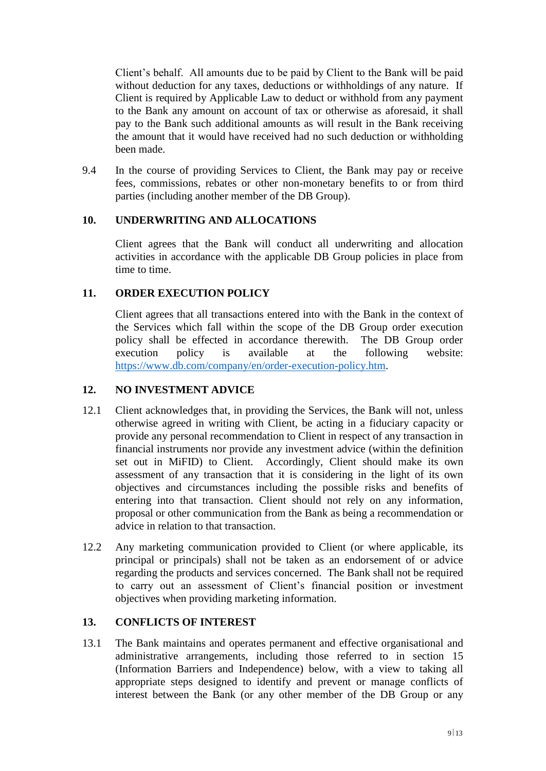Client's behalf. All amounts due to be paid by Client to the Bank will be paid without deduction for any taxes, deductions or withholdings of any nature. If Client is required by Applicable Law to deduct or withhold from any payment to the Bank any amount on account of tax or otherwise as aforesaid, it shall pay to the Bank such additional amounts as will result in the Bank receiving the amount that it would have received had no such deduction or withholding been made.

9.4 In the course of providing Services to Client, the Bank may pay or receive fees, commissions, rebates or other non-monetary benefits to or from third parties (including another member of the DB Group).

### **10. UNDERWRITING AND ALLOCATIONS**

Client agrees that the Bank will conduct all underwriting and allocation activities in accordance with the applicable DB Group policies in place from time to time.

### **11. ORDER EXECUTION POLICY**

Client agrees that all transactions entered into with the Bank in the context of the Services which fall within the scope of the DB Group order execution policy shall be effected in accordance therewith. The DB Group order execution policy is available at the following website: [https://www.db.com/company/en/order-execution-policy.htm.](https://www.db.com/company/en/order-execution-policy.htm)

### **12. NO INVESTMENT ADVICE**

- 12.1 Client acknowledges that, in providing the Services, the Bank will not, unless otherwise agreed in writing with Client, be acting in a fiduciary capacity or provide any personal recommendation to Client in respect of any transaction in financial instruments nor provide any investment advice (within the definition set out in MiFID) to Client. Accordingly, Client should make its own assessment of any transaction that it is considering in the light of its own objectives and circumstances including the possible risks and benefits of entering into that transaction. Client should not rely on any information, proposal or other communication from the Bank as being a recommendation or advice in relation to that transaction.
- 12.2 Any marketing communication provided to Client (or where applicable, its principal or principals) shall not be taken as an endorsement of or advice regarding the products and services concerned. The Bank shall not be required to carry out an assessment of Client's financial position or investment objectives when providing marketing information.

# **13. CONFLICTS OF INTEREST**

13.1 The Bank maintains and operates permanent and effective organisational and administrative arrangements, including those referred to in section [15](#page-10-0) [\(Information Barriers and Independence\)](#page-10-0) below, with a view to taking all appropriate steps designed to identify and prevent or manage conflicts of interest between the Bank (or any other member of the DB Group or any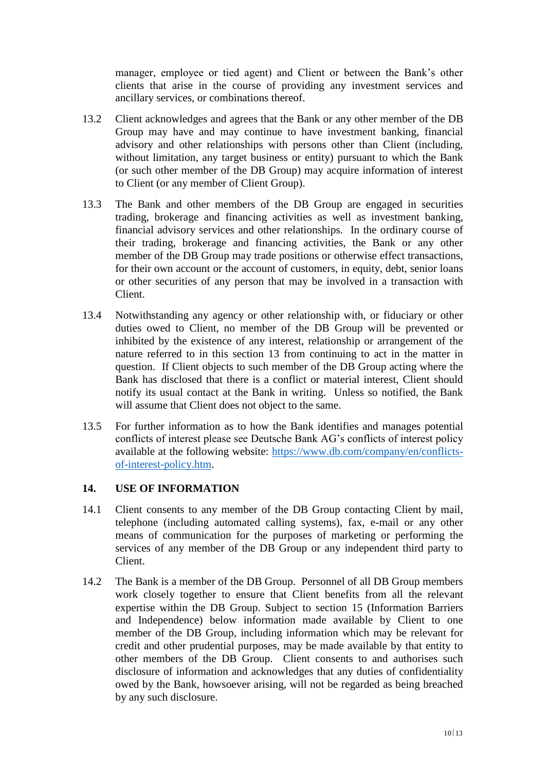manager, employee or tied agent) and Client or between the Bank's other clients that arise in the course of providing any investment services and ancillary services, or combinations thereof.

- 13.2 Client acknowledges and agrees that the Bank or any other member of the DB Group may have and may continue to have investment banking, financial advisory and other relationships with persons other than Client (including, without limitation, any target business or entity) pursuant to which the Bank (or such other member of the DB Group) may acquire information of interest to Client (or any member of Client Group).
- 13.3 The Bank and other members of the DB Group are engaged in securities trading, brokerage and financing activities as well as investment banking, financial advisory services and other relationships. In the ordinary course of their trading, brokerage and financing activities, the Bank or any other member of the DB Group may trade positions or otherwise effect transactions, for their own account or the account of customers, in equity, debt, senior loans or other securities of any person that may be involved in a transaction with Client.
- 13.4 Notwithstanding any agency or other relationship with, or fiduciary or other duties owed to Client, no member of the DB Group will be prevented or inhibited by the existence of any interest, relationship or arrangement of the nature referred to in this section 13 from continuing to act in the matter in question. If Client objects to such member of the DB Group acting where the Bank has disclosed that there is a conflict or material interest, Client should notify its usual contact at the Bank in writing. Unless so notified, the Bank will assume that Client does not object to the same.
- 13.5 For further information as to how the Bank identifies and manages potential conflicts of interest please see Deutsche Bank AG's conflicts of interest policy available at the following website: [https://www.db.com/company/en/conflicts](https://www.db.com/company/en/conflicts-of-interest-policy.htm)[of-interest-policy.htm.](https://www.db.com/company/en/conflicts-of-interest-policy.htm)

### **14. USE OF INFORMATION**

- 14.1 Client consents to any member of the DB Group contacting Client by mail, telephone (including automated calling systems), fax, e-mail or any other means of communication for the purposes of marketing or performing the services of any member of the DB Group or any independent third party to Client.
- 14.2 The Bank is a member of the DB Group. Personnel of all DB Group members work closely together to ensure that Client benefits from all the relevant expertise within the DB Group. Subject to section 15 [\(Information Barriers](#page-10-0)  [and Independence\)](#page-10-0) below information made available by Client to one member of the DB Group, including information which may be relevant for credit and other prudential purposes, may be made available by that entity to other members of the DB Group. Client consents to and authorises such disclosure of information and acknowledges that any duties of confidentiality owed by the Bank, howsoever arising, will not be regarded as being breached by any such disclosure.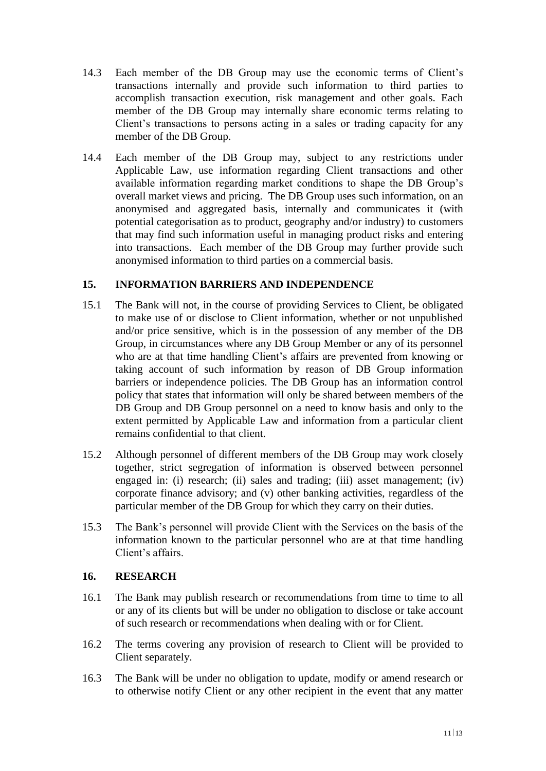- 14.3 Each member of the DB Group may use the economic terms of Client's transactions internally and provide such information to third parties to accomplish transaction execution, risk management and other goals. Each member of the DB Group may internally share economic terms relating to Client's transactions to persons acting in a sales or trading capacity for any member of the DB Group.
- 14.4 Each member of the DB Group may, subject to any restrictions under Applicable Law, use information regarding Client transactions and other available information regarding market conditions to shape the DB Group's overall market views and pricing. The DB Group uses such information, on an anonymised and aggregated basis, internally and communicates it (with potential categorisation as to product, geography and/or industry) to customers that may find such information useful in managing product risks and entering into transactions. Each member of the DB Group may further provide such anonymised information to third parties on a commercial basis.

# <span id="page-10-0"></span>**15. INFORMATION BARRIERS AND INDEPENDENCE**

- 15.1 The Bank will not, in the course of providing Services to Client, be obligated to make use of or disclose to Client information, whether or not unpublished and/or price sensitive, which is in the possession of any member of the DB Group, in circumstances where any DB Group Member or any of its personnel who are at that time handling Client's affairs are prevented from knowing or taking account of such information by reason of DB Group information barriers or independence policies. The DB Group has an information control policy that states that information will only be shared between members of the DB Group and DB Group personnel on a need to know basis and only to the extent permitted by Applicable Law and information from a particular client remains confidential to that client.
- 15.2 Although personnel of different members of the DB Group may work closely together, strict segregation of information is observed between personnel engaged in: (i) research; (ii) sales and trading; (iii) asset management; (iv) corporate finance advisory; and (v) other banking activities, regardless of the particular member of the DB Group for which they carry on their duties.
- 15.3 The Bank's personnel will provide Client with the Services on the basis of the information known to the particular personnel who are at that time handling Client's affairs.

# **16. RESEARCH**

- 16.1 The Bank may publish research or recommendations from time to time to all or any of its clients but will be under no obligation to disclose or take account of such research or recommendations when dealing with or for Client.
- 16.2 The terms covering any provision of research to Client will be provided to Client separately.
- 16.3 The Bank will be under no obligation to update, modify or amend research or to otherwise notify Client or any other recipient in the event that any matter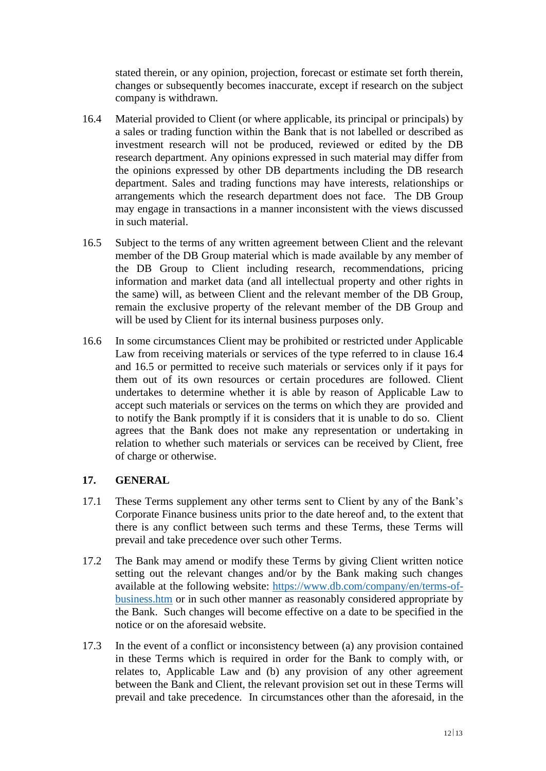stated therein, or any opinion, projection, forecast or estimate set forth therein, changes or subsequently becomes inaccurate, except if research on the subject company is withdrawn.

- <span id="page-11-0"></span>16.4 Material provided to Client (or where applicable, its principal or principals) by a sales or trading function within the Bank that is not labelled or described as investment research will not be produced, reviewed or edited by the DB research department. Any opinions expressed in such material may differ from the opinions expressed by other DB departments including the DB research department. Sales and trading functions may have interests, relationships or arrangements which the research department does not face. The DB Group may engage in transactions in a manner inconsistent with the views discussed in such material.
- <span id="page-11-1"></span>16.5 Subject to the terms of any written agreement between Client and the relevant member of the DB Group material which is made available by any member of the DB Group to Client including research, recommendations, pricing information and market data (and all intellectual property and other rights in the same) will, as between Client and the relevant member of the DB Group, remain the exclusive property of the relevant member of the DB Group and will be used by Client for its internal business purposes only.
- 16.6 In some circumstances Client may be prohibited or restricted under Applicable Law from receiving materials or services of the type referred to in clause [16.4](#page-11-0) and [16.5](#page-11-1) or permitted to receive such materials or services only if it pays for them out of its own resources or certain procedures are followed. Client undertakes to determine whether it is able by reason of Applicable Law to accept such materials or services on the terms on which they are provided and to notify the Bank promptly if it is considers that it is unable to do so. Client agrees that the Bank does not make any representation or undertaking in relation to whether such materials or services can be received by Client, free of charge or otherwise.

### **17. GENERAL**

- 17.1 These Terms supplement any other terms sent to Client by any of the Bank's Corporate Finance business units prior to the date hereof and, to the extent that there is any conflict between such terms and these Terms, these Terms will prevail and take precedence over such other Terms.
- 17.2 The Bank may amend or modify these Terms by giving Client written notice setting out the relevant changes and/or by the Bank making such changes available at the following website: [https://www.db.com/company/en/terms-of](https://www.db.com/company/en/terms-of-business.htm)[business.htm](https://www.db.com/company/en/terms-of-business.htm) or in such other manner as reasonably considered appropriate by the Bank. Such changes will become effective on a date to be specified in the notice or on the aforesaid website.
- 17.3 In the event of a conflict or inconsistency between (a) any provision contained in these Terms which is required in order for the Bank to comply with, or relates to, Applicable Law and (b) any provision of any other agreement between the Bank and Client, the relevant provision set out in these Terms will prevail and take precedence. In circumstances other than the aforesaid, in the